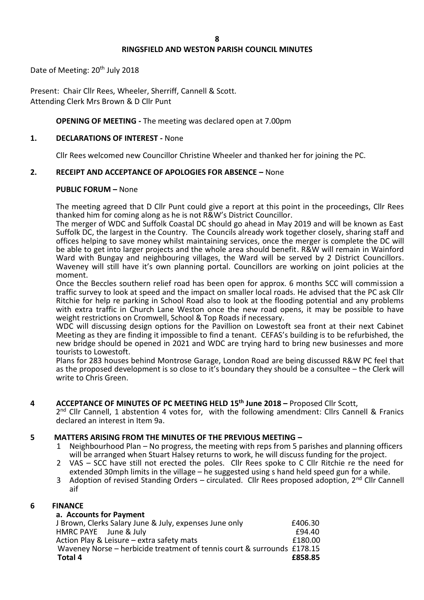# **RINGSFIELD AND WESTON PARISH COUNCIL MINUTES**

Date of Meeting: 20<sup>th</sup> July 2018

Present: Chair Cllr Rees, Wheeler, Sherriff, Cannell & Scott. Attending Clerk Mrs Brown & D Cllr Punt

# **OPENING OF MEETING -** The meeting was declared open at 7.00pm

# **1. DECLARATIONS OF INTEREST -** None

Cllr Rees welcomed new Councillor Christine Wheeler and thanked her for joining the PC.

# **2. RECEIPT AND ACCEPTANCE OF APOLOGIES FOR ABSENCE –** None

# **PUBLIC FORUM –** None

The meeting agreed that D Cllr Punt could give a report at this point in the proceedings, Cllr Rees thanked him for coming along as he is not R&W's District Councillor.

The merger of WDC and Suffolk Coastal DC should go ahead in May 2019 and will be known as East Suffolk DC, the largest in the Country. The Councils already work together closely, sharing staff and offices helping to save money whilst maintaining services, once the merger is complete the DC will be able to get into larger projects and the whole area should benefit. R&W will remain in Wainford Ward with Bungay and neighbouring villages, the Ward will be served by 2 District Councillors. Waveney will still have it's own planning portal. Councillors are working on joint policies at the moment.

Once the Beccles southern relief road has been open for approx. 6 months SCC will commission a traffic survey to look at speed and the impact on smaller local roads. He advised that the PC ask Cllr Ritchie for help re parking in School Road also to look at the flooding potential and any problems with extra traffic in Church Lane Weston once the new road opens, it may be possible to have weight restrictions on Cromwell, School & Top Roads if necessary.

WDC will discussing design options for the Pavillion on Lowestoft sea front at their next Cabinet Meeting as they are finding it impossible to find a tenant. CEFAS's building is to be refurbished, the new bridge should be opened in 2021 and WDC are trying hard to bring new businesses and more tourists to Lowestoft.

Plans for 283 houses behind Montrose Garage, London Road are being discussed R&W PC feel that as the proposed development is so close to it's boundary they should be a consultee – the Clerk will write to Chris Green.

# **4 ACCEPTANCE OF MINUTES OF PC MEETING HELD 15th June 2018 –** Proposed Cllr Scott,

2<sup>nd</sup> Cllr Cannell, 1 abstention 4 votes for, with the following amendment: Cllrs Cannell & Franics declared an interest in Item 9a.

# **5 MATTERS ARISING FROM THE MINUTES OF THE PREVIOUS MEETING –**

- Neighbourhood Plan No progress, the meeting with reps from 5 parishes and planning officers will be arranged when Stuart Halsey returns to work, he will discuss funding for the project.
- 2 VAS SCC have still not erected the poles. Cllr Rees spoke to C Cllr Ritchie re the need for extended 30mph limits in the village – he suggested using s hand held speed gun for a while.
- 3 Adoption of revised Standing Orders circulated. Cllr Rees proposed adoption,  $2^{nd}$  Cllr Cannell aif

# **6 FINANCE**

| a. Accounts for Payment                                                 |         |
|-------------------------------------------------------------------------|---------|
| J Brown, Clerks Salary June & July, expenses June only                  | £406.30 |
| HMRC PAYE June & July                                                   | £94.40  |
| Action Play & Leisure - extra safety mats                               | £180.00 |
| Waveney Norse - herbicide treatment of tennis court & surrounds £178.15 |         |
| Total 4                                                                 | £858.85 |